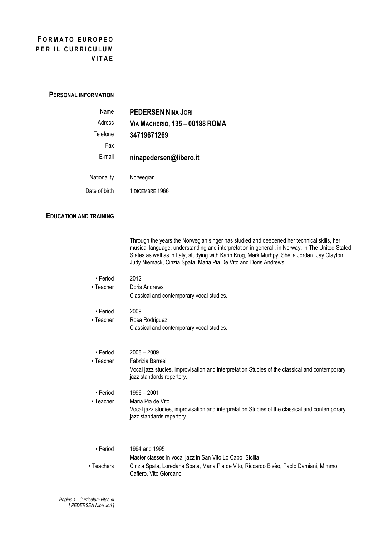## **F O R M A T O E U R O P E O PER IL CURRICULUM V I T A E**

## **PERSONAL INFORMATION**

*[ PEDERSEN Nina Jori ]*

| Name                           | <b>PEDERSEN NINA JORI</b>                                                                                                                                                                                                                                                                                                                                         |
|--------------------------------|-------------------------------------------------------------------------------------------------------------------------------------------------------------------------------------------------------------------------------------------------------------------------------------------------------------------------------------------------------------------|
| Adress                         | <b>VIA MACHERIO, 135 - 00188 ROMA</b>                                                                                                                                                                                                                                                                                                                             |
| Telefone                       | 34719671269                                                                                                                                                                                                                                                                                                                                                       |
| Fax                            |                                                                                                                                                                                                                                                                                                                                                                   |
| E-mail                         | ninapedersen@libero.it                                                                                                                                                                                                                                                                                                                                            |
|                                |                                                                                                                                                                                                                                                                                                                                                                   |
| Nationality                    | Norwegian                                                                                                                                                                                                                                                                                                                                                         |
| Date of birth                  | 1 DICEMBRE 1966                                                                                                                                                                                                                                                                                                                                                   |
|                                |                                                                                                                                                                                                                                                                                                                                                                   |
| <b>EDUCATION AND TRAINING</b>  |                                                                                                                                                                                                                                                                                                                                                                   |
|                                |                                                                                                                                                                                                                                                                                                                                                                   |
|                                | Through the years the Norwegian singer has studied and deepened her technical skills, her<br>musical language, understanding and interpretation in general, in Norway, in The United Stated<br>States as well as in Italy, studying with Karin Krog, Mark Murhpy, Sheila Jordan, Jay Clayton,<br>Judy Niemack, Cinzia Spata, Maria Pia De Vito and Doris Andrews. |
| • Period                       | 2012                                                                                                                                                                                                                                                                                                                                                              |
| • Teacher                      | Doris Andrews                                                                                                                                                                                                                                                                                                                                                     |
|                                | Classical and contemporary vocal studies.                                                                                                                                                                                                                                                                                                                         |
| • Period                       | 2009                                                                                                                                                                                                                                                                                                                                                              |
| • Teacher                      | Rosa Rodriguez                                                                                                                                                                                                                                                                                                                                                    |
|                                | Classical and contemporary vocal studies.                                                                                                                                                                                                                                                                                                                         |
| • Period                       | $2008 - 2009$                                                                                                                                                                                                                                                                                                                                                     |
| • Teacher                      | Fabrizia Barresi                                                                                                                                                                                                                                                                                                                                                  |
|                                | Vocal jazz studies, improvisation and interpretation Studies of the classical and contemporary<br>jazz standards repertory.                                                                                                                                                                                                                                       |
| • Period                       | 1996 - 2001                                                                                                                                                                                                                                                                                                                                                       |
| • Teacher                      | Maria Pia de Vito                                                                                                                                                                                                                                                                                                                                                 |
|                                | Vocal jazz studies, improvisation and interpretation Studies of the classical and contemporary<br>jazz standards repertory.                                                                                                                                                                                                                                       |
|                                |                                                                                                                                                                                                                                                                                                                                                                   |
|                                |                                                                                                                                                                                                                                                                                                                                                                   |
| • Period                       | 1994 and 1995                                                                                                                                                                                                                                                                                                                                                     |
|                                | Master classes in vocal jazz in San Vito Lo Capo, Sicilia                                                                                                                                                                                                                                                                                                         |
| • Teachers                     | Cinzia Spata, Loredana Spata, Maria Pia de Vito, Riccardo Bisèo, Paolo Damiani, Mimmo<br>Cafiero, Vito Giordano                                                                                                                                                                                                                                                   |
|                                |                                                                                                                                                                                                                                                                                                                                                                   |
| Pagina 1 - Curriculum vitae di |                                                                                                                                                                                                                                                                                                                                                                   |
|                                |                                                                                                                                                                                                                                                                                                                                                                   |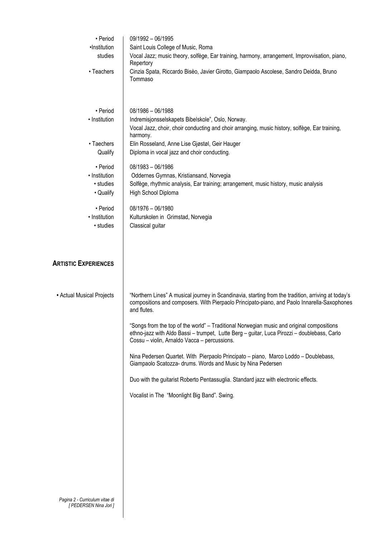| • Period                                            | 09/1992 - 06/1995                                                                                                                                                                                                                        |  |
|-----------------------------------------------------|------------------------------------------------------------------------------------------------------------------------------------------------------------------------------------------------------------------------------------------|--|
| ·Institution                                        | Saint Louis College of Music, Roma                                                                                                                                                                                                       |  |
| studies                                             | Vocal Jazz; music theory, solfège, Ear training, harmony, arrangement, Improvvisation, piano,<br>Repertory                                                                                                                               |  |
| • Teachers                                          | Cinzia Spata, Riccardo Bisèo, Javier Girotto, Giampaolo Ascolese, Sandro Deidda, Bruno<br>Tommaso                                                                                                                                        |  |
| • Period                                            | $08/1986 - 06/1988$                                                                                                                                                                                                                      |  |
| • Institution                                       | Indremisjonsselskapets Bibelskole", Oslo, Norway.<br>Vocal Jazz, choir, choir conducting and choir arranging, music history, solfège, Ear training,<br>harmony.                                                                          |  |
| • Taechers<br>Qualify                               | Elin Rosseland, Anne Lise Gjøstøl, Geir Hauger<br>Diploma in vocal jazz and choir conducting.                                                                                                                                            |  |
| • Period<br>• Institution<br>• studies<br>• Qualify | $08/1983 - 06/1986$<br>Oddernes Gymnas, Kristiansand, Norvegia<br>Solfège, rhythmic analysis, Ear training; arrangement, music history, music analysis<br>High School Diploma                                                            |  |
| • Period<br>• Institution<br>• studies              | 08/1976 - 06/1980<br>Kulturskolen in Grimstad, Norvegia<br>Classical guitar                                                                                                                                                              |  |
| <b>ARTISTIC EXPERIENCES</b>                         |                                                                                                                                                                                                                                          |  |
| • Actual Musical Projects                           | "Northern Lines" A musical journey in Scandinavia, starting from the tradition, arriving at today's<br>compositions and composers. With Pierpaolo Principato-piano, and Paolo Innarella-Saxophones<br>and flutes.                        |  |
|                                                     | "Songs from the top of the world" - Traditional Norwegian music and original compositions<br>ethno-jazz with Aldo Bassi - trumpet, Lutte Berg - guitar, Luca Pirozzi - doublebass, Carlo<br>Cossu - violin, Arnaldo Vacca - percussions. |  |
|                                                     | Nina Pedersen Quartet. With Pierpaolo Principato – piano, Marco Loddo – Doublebass,<br>Giampaolo Scatozza- drums. Words and Music by Nina Pedersen                                                                                       |  |
|                                                     | Duo with the guitarist Roberto Pentassuglia. Standard jazz with electronic effects.                                                                                                                                                      |  |
|                                                     | Vocalist in The "Moonlight Big Band". Swing.                                                                                                                                                                                             |  |
|                                                     |                                                                                                                                                                                                                                          |  |
|                                                     |                                                                                                                                                                                                                                          |  |
|                                                     |                                                                                                                                                                                                                                          |  |
|                                                     |                                                                                                                                                                                                                                          |  |
|                                                     |                                                                                                                                                                                                                                          |  |
| Pagina 2 - Curriculum vitae di                      |                                                                                                                                                                                                                                          |  |

*[ PEDERSEN Nina Jori ]*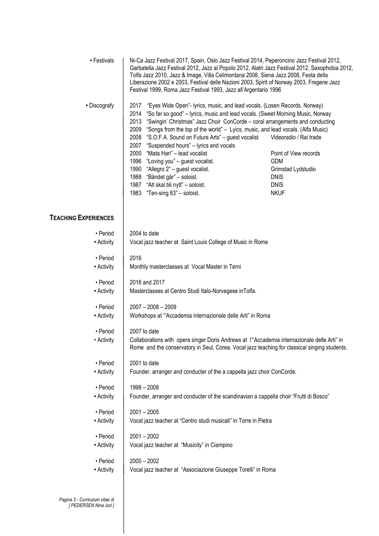| • Festivals                 | Ni-Ca Jazz Festival 2017, Spain, Oslo Jazz Festival 2014, Peperoncino Jazz Festival 2012,<br>Garbatella Jazz Festival 2012, Jazz al Popolo 2012, Alatri Jazz Festival 2012, Saxophobia 2012,<br>Tolfa Jazz 2010, Jazz & Image, Villa Celimontana 2008, Siena Jazz 2008, Festa della<br>Liberazione 2002 e 2003, Festival delle Nazioni 2003, Spirit of Norway 2003, Fregene Jazz<br>Festival 1999, Roma Jazz Festival 1993, Jazz all'Argentario 1996                                                                                                                                                                                                                                                          |                                                                                                                                  |
|-----------------------------|---------------------------------------------------------------------------------------------------------------------------------------------------------------------------------------------------------------------------------------------------------------------------------------------------------------------------------------------------------------------------------------------------------------------------------------------------------------------------------------------------------------------------------------------------------------------------------------------------------------------------------------------------------------------------------------------------------------|----------------------------------------------------------------------------------------------------------------------------------|
| • Discografy                | 2017<br>"Eyes Wide Open"- lyrics, music, and lead vocals. (Losen Records. Norway)<br>2014<br>"So far so good" - lyrics, music and lead vocals. (Sweet Morning Music, Norway<br>2013<br>"Swingin' Christmas" Jazz Choir ConCorde - coral arrangements and conducting<br>2009<br>"Songs from the top of the world" - Lyics, music, and lead vocals. (Alfa Music)<br>"S.O.F.A. Sound on Future Arts" - guest vocalist<br>2008<br>2007<br>"Suspended hours" - lyrics and vocals<br>"Mata Hari" - lead vocalist<br>2000<br>1996 "Loving you" - guest vocalist.<br>1990 "Allegro 2" - guest vocalist.<br>1988 "Båndet går" - soloist.<br>"Alt skal bli nytt" - soloist.<br>1987<br>"Ten-sing 83" - soloist.<br>1983 | Videoradio / Rai trade<br>Point of View records<br><b>GDM</b><br>Grimstad Lydstudio<br><b>DNIS</b><br><b>DNIS</b><br><b>NKUF</b> |
| <b>TEACHING EXPERIENCES</b> |                                                                                                                                                                                                                                                                                                                                                                                                                                                                                                                                                                                                                                                                                                               |                                                                                                                                  |
| • Period                    | 2004 to date                                                                                                                                                                                                                                                                                                                                                                                                                                                                                                                                                                                                                                                                                                  |                                                                                                                                  |
| • Activity                  | Vocal jazz teacher at Saint Louis College of Music in Rome                                                                                                                                                                                                                                                                                                                                                                                                                                                                                                                                                                                                                                                    |                                                                                                                                  |
| • Period                    | 2016                                                                                                                                                                                                                                                                                                                                                                                                                                                                                                                                                                                                                                                                                                          |                                                                                                                                  |
| • Activity                  | Monthly masterclasses at Vocal Master in Terni                                                                                                                                                                                                                                                                                                                                                                                                                                                                                                                                                                                                                                                                |                                                                                                                                  |
| • Period                    | 2016 and 2017                                                                                                                                                                                                                                                                                                                                                                                                                                                                                                                                                                                                                                                                                                 |                                                                                                                                  |
| • Activity                  | Masterclasses at Centro Studi Italo-Norvegese inTolfa.                                                                                                                                                                                                                                                                                                                                                                                                                                                                                                                                                                                                                                                        |                                                                                                                                  |
| • Period                    | $2007 - 2008 - 2009$                                                                                                                                                                                                                                                                                                                                                                                                                                                                                                                                                                                                                                                                                          |                                                                                                                                  |
| • Activity                  | Workshops at "Accademia internazionale delle Arti" in Roma                                                                                                                                                                                                                                                                                                                                                                                                                                                                                                                                                                                                                                                    |                                                                                                                                  |
| • Period                    | 2007 to date                                                                                                                                                                                                                                                                                                                                                                                                                                                                                                                                                                                                                                                                                                  |                                                                                                                                  |
| • Activity                  | Collaborations with opera singer Doris Andrews at l"Accademia internazionale delle Arti" in<br>Rome and the conservatory in Seul, Corea. Vocal jazz teaching for classical singing students.                                                                                                                                                                                                                                                                                                                                                                                                                                                                                                                  |                                                                                                                                  |
| • Period                    | 2001 to date                                                                                                                                                                                                                                                                                                                                                                                                                                                                                                                                                                                                                                                                                                  |                                                                                                                                  |
| • Activity                  | Founder, arranger and conducter of the a cappella jazz choir ConCorde.                                                                                                                                                                                                                                                                                                                                                                                                                                                                                                                                                                                                                                        |                                                                                                                                  |
| • Period                    | $1998 - 2008$                                                                                                                                                                                                                                                                                                                                                                                                                                                                                                                                                                                                                                                                                                 |                                                                                                                                  |
| • Activity                  | Founder, arranger and conducter of the scandinavian a cappella choir "Frutti di Bosco"                                                                                                                                                                                                                                                                                                                                                                                                                                                                                                                                                                                                                        |                                                                                                                                  |
| • Period                    | $2001 - 2005$                                                                                                                                                                                                                                                                                                                                                                                                                                                                                                                                                                                                                                                                                                 |                                                                                                                                  |
| • Activity                  | Vocal jazz teacher at "Centro studi musicali" in Torre in Pietra                                                                                                                                                                                                                                                                                                                                                                                                                                                                                                                                                                                                                                              |                                                                                                                                  |
| • Period                    | $2001 - 2002$                                                                                                                                                                                                                                                                                                                                                                                                                                                                                                                                                                                                                                                                                                 |                                                                                                                                  |
| • Activity                  | Vocal jazz teacher at "Musicity" in Ciampino                                                                                                                                                                                                                                                                                                                                                                                                                                                                                                                                                                                                                                                                  |                                                                                                                                  |
| • Period                    | $2000 - 2002$                                                                                                                                                                                                                                                                                                                                                                                                                                                                                                                                                                                                                                                                                                 |                                                                                                                                  |
| • Activity                  | Vocal jazz teacher at "Associazione Giuseppe Torelli" in Roma                                                                                                                                                                                                                                                                                                                                                                                                                                                                                                                                                                                                                                                 |                                                                                                                                  |
|                             |                                                                                                                                                                                                                                                                                                                                                                                                                                                                                                                                                                                                                                                                                                               |                                                                                                                                  |

*Pagina 3 - Curriculum vitae di [ PEDERSEN Nina Jori ]*